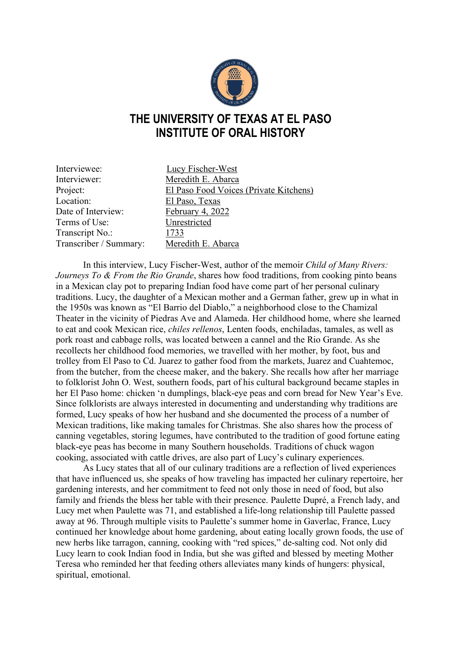

## **THE UNIVERSITY OF TEXAS AT EL PASO INSTITUTE OF ORAL HISTORY**

| Interviewee:           | <b>Lucy Fischer-West</b>               |
|------------------------|----------------------------------------|
| Interviewer:           | Meredith E. Abarca                     |
| Project:               | El Paso Food Voices (Private Kitchens) |
| Location:              | El Paso, Texas                         |
| Date of Interview:     | February 4, 2022                       |
| Terms of Use:          | Unrestricted                           |
| Transcript No.:        | 1733                                   |
| Transcriber / Summary: | Meredith E. Abarca                     |

In this interview, Lucy Fischer-West, author of the memoir *Child of Many Rivers: Journeys To & From the Rio Grande*, shares how food traditions, from cooking pinto beans in a Mexican clay pot to preparing Indian food have come part of her personal culinary traditions. Lucy, the daughter of a Mexican mother and a German father, grew up in what in the 1950s was known as "El Barrio del Diablo," a neighborhood close to the Chamizal Theater in the vicinity of Piedras Ave and Alameda. Her childhood home, where she learned to eat and cook Mexican rice, *chiles rellenos*, Lenten foods, enchiladas, tamales, as well as pork roast and cabbage rolls, was located between a cannel and the Rio Grande. As she recollects her childhood food memories, we travelled with her mother, by foot, bus and trolley from El Paso to Cd. Juarez to gather food from the markets, Juarez and Cuahtemoc, from the butcher, from the cheese maker, and the bakery. She recalls how after her marriage to folklorist John O. West, southern foods, part of his cultural background became staples in her El Paso home: chicken 'n dumplings, black-eye peas and corn bread for New Year's Eve. Since folklorists are always interested in documenting and understanding why traditions are formed, Lucy speaks of how her husband and she documented the process of a number of Mexican traditions, like making tamales for Christmas. She also shares how the process of canning vegetables, storing legumes, have contributed to the tradition of good fortune eating black-eye peas has become in many Southern households. Traditions of chuck wagon cooking, associated with cattle drives, are also part of Lucy's culinary experiences.

As Lucy states that all of our culinary traditions are a reflection of lived experiences that have influenced us, she speaks of how traveling has impacted her culinary repertoire, her gardening interests, and her commitment to feed not only those in need of food, but also family and friends the bless her table with their presence. Paulette Dupré, a French lady, and Lucy met when Paulette was 71, and established a life-long relationship till Paulette passed away at 96. Through multiple visits to Paulette's summer home in Gaverlac, France, Lucy continued her knowledge about home gardening, about eating locally grown foods, the use of new herbs like tarragon, canning, cooking with "red spices," de-salting cod. Not only did Lucy learn to cook Indian food in India, but she was gifted and blessed by meeting Mother Teresa who reminded her that feeding others alleviates many kinds of hungers: physical, spiritual, emotional.